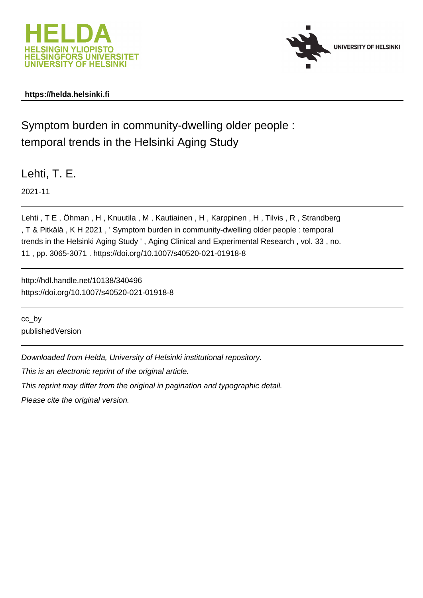



# **https://helda.helsinki.fi**

Symptom burden in community-dwelling older people : temporal trends in the Helsinki Aging Study

Lehti, T. E.

2021-11

Lehti, T E, Öhman, H, Knuutila, M, Kautiainen, H, Karppinen, H, Tilvis, R, Strandberg , T & Pitkälä , K H 2021 , ' Symptom burden in community-dwelling older people : temporal trends in the Helsinki Aging Study ' , Aging Clinical and Experimental Research , vol. 33 , no. 11 , pp. 3065-3071 . https://doi.org/10.1007/s40520-021-01918-8

http://hdl.handle.net/10138/340496 https://doi.org/10.1007/s40520-021-01918-8

cc\_by publishedVersion

Downloaded from Helda, University of Helsinki institutional repository.

This is an electronic reprint of the original article.

This reprint may differ from the original in pagination and typographic detail.

Please cite the original version.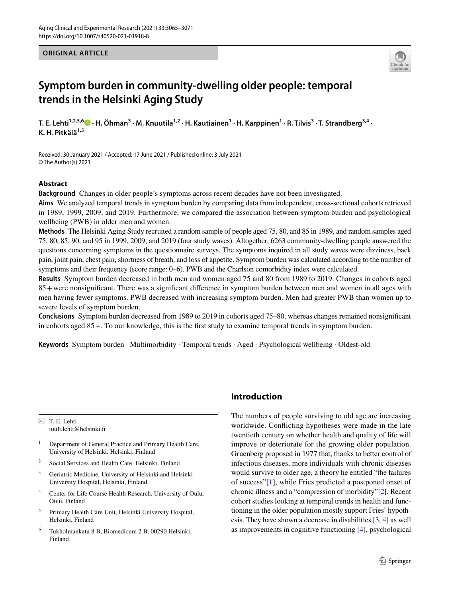#### **ORIGINAL ARTICLE**



# **Symptom burden in community‑dwelling older people: temporal trends in the Helsinki Aging Study**

 $\bar{\bf T}$ . E. Lehti<sup>1,2,5,6</sup>  $\bar{\bf D}$  [·](http://orcid.org/0000-0002-1861-8576) H. Öhman $^3$  · M. Knuutila<sup>1,2</sup> · H. Kautiainen $^1$  · H. Karppinen $^1$  · R. Tilvis $^3$  · T. Strandberg $^{3,4}$  · **K. H. Pitkälä1,5**

Received: 30 January 2021 / Accepted: 17 June 2021 / Published online: 3 July 2021 © The Author(s) 2021

## **Abstract**

**Background** Changes in older people's symptoms across recent decades have not been investigated.

**Aims** We analyzed temporal trends in symptom burden by comparing data from independent, cross-sectional cohorts retrieved in 1989, 1999, 2009, and 2019. Furthermore, we compared the association between symptom burden and psychological wellbeing (PWB) in older men and women.

**Methods** The Helsinki Aging Study recruited a random sample of people aged 75, 80, and 85 in 1989, and random samples aged 75, 80, 85, 90, and 95 in 1999, 2009, and 2019 (four study waves). Altogether, 6263 community-dwelling people answered the questions concerning symptoms in the questionnaire surveys. The symptoms inquired in all study waves were dizziness, back pain, joint pain, chest pain, shortness of breath, and loss of appetite. Symptom burden was calculated according to the number of symptoms and their frequency (score range: 0–6). PWB and the Charlson comorbidity index were calculated.

**Results** Symptom burden decreased in both men and women aged 75 and 80 from 1989 to 2019. Changes in cohorts aged 85+were nonsignifcant. There was a signifcant diference in symptom burden between men and women in all ages with men having fewer symptoms. PWB decreased with increasing symptom burden. Men had greater PWB than women up to severe levels of symptom burden.

**Conclusions** Symptom burden decreased from 1989 to 2019 in cohorts aged 75–80, whereas changes remained nonsignifcant in cohorts aged 85+. To our knowledge, this is the frst study to examine temporal trends in symptom burden.

**Keywords** Symptom burden · Multimorbidity · Temporal trends · Aged · Psychological wellbeing · Oldest-old

 $\boxtimes$  T. E. Lehti tuuli.lehti@helsinki.f

- <sup>1</sup> Department of General Practice and Primary Health Care, University of Helsinki, Helsinki, Finland
- <sup>2</sup> Social Services and Health Care, Helsinki, Finland
- <sup>3</sup> Geriatric Medicine, University of Helsinki and Helsinki University Hospital, Helsinki, Finland
- <sup>4</sup> Center for Life Course Health Research, University of Oulu, Oulu, Finland
- <sup>5</sup> Primary Health Care Unit, Helsinki University Hospital, Helsinki, Finland
- <sup>6</sup> Tukholmankatu 8 B, Biomedicum 2 B, 00290 Helsinki, Finland

## **Introduction**

The numbers of people surviving to old age are increasing worldwide. Conficting hypotheses were made in the late twentieth century on whether health and quality of life will improve or deteriorate for the growing older population. Gruenberg proposed in 1977 that, thanks to better control of infectious diseases, more individuals with chronic diseases would survive to older age, a theory he entitled "the failures of success"[1], while Fries predicted a postponed onset of chronic illness and a "compression of morbidity"[2]. Recent cohort studies looking at temporal trends in health and functioning in the older population mostly support Fries' hypothesis. They have shown a decrease in disabilities [3, 4] as well as improvements in cognitive functioning [4], psychological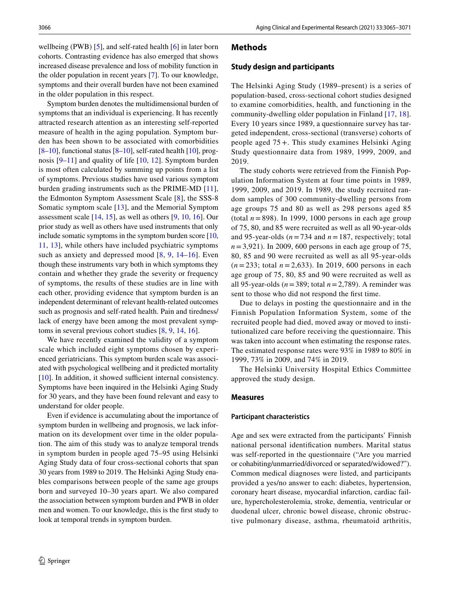wellbeing (PWB)  $[5]$ , and self-rated health  $[6]$  in later born cohorts. Contrasting evidence has also emerged that shows increased disease prevalence and loss of mobility function in the older population in recent years [7]. To our knowledge, symptoms and their overall burden have not been examined in the older population in this respect.

Symptom burden denotes the multidimensional burden of symptoms that an individual is experiencing. It has recently attracted research attention as an interesting self-reported measure of health in the aging population. Symptom burden has been shown to be associated with comorbidities  $[8–10]$ , functional status  $[8–10]$ , self-rated health  $[10]$ , prognosis [9–11] and quality of life [10, 12]. Symptom burden is most often calculated by summing up points from a list of symptoms. Previous studies have used various symptom burden grading instruments such as the PRIME-MD [11], the Edmonton Symptom Assessment Scale [8], the SSS-8 Somatic symptom scale [13], and the Memorial Symptom assessment scale  $[14, 15]$ , as well as others  $[9, 10, 16]$ . Our prior study as well as others have used instruments that only include somatic symptoms in the symptom burden score [10, 11, 13], while others have included psychiatric symptoms such as anxiety and depressed mood [8, 9, 14–16]. Even though these instruments vary both in which symptoms they contain and whether they grade the severity or frequency of symptoms, the results of these studies are in line with each other, providing evidence that symptom burden is an independent determinant of relevant health-related outcomes such as prognosis and self-rated health. Pain and tiredness/ lack of energy have been among the most prevalent symptoms in several previous cohort studies [8, 9, 14, 16].

We have recently examined the validity of a symptom scale which included eight symptoms chosen by experienced geriatricians. This symptom burden scale was associated with psychological wellbeing and it predicted mortality  $[10]$ . In addition, it showed sufficient internal consistency. Symptoms have been inquired in the Helsinki Aging Study for 30 years, and they have been found relevant and easy to understand for older people.

Even if evidence is accumulating about the importance of symptom burden in wellbeing and prognosis, we lack information on its development over time in the older population. The aim of this study was to analyze temporal trends in symptom burden in people aged 75–95 using Helsinki Aging Study data of four cross-sectional cohorts that span 30 years from 1989 to 2019. The Helsinki Aging Study enables comparisons between people of the same age groups born and surveyed 10–30 years apart. We also compared the association between symptom burden and PWB in older men and women. To our knowledge, this is the frst study to look at temporal trends in symptom burden.

#### **Methods**

#### **Study design and participants**

The Helsinki Aging Study (1989–present) is a series of population-based, cross-sectional cohort studies designed to examine comorbidities, health, and functioning in the community-dwelling older population in Finland [17, 18]. Every 10 years since 1989, a questionnaire survey has targeted independent, cross-sectional (transverse) cohorts of people aged 75 +. This study examines Helsinki Aging Study questionnaire data from 1989, 1999, 2009, and 2019.

The study cohorts were retrieved from the Finnish Population Information System at four time points in 1989, 1999, 2009, and 2019. In 1989, the study recruited random samples of 300 community-dwelling persons from age groups 75 and 80 as well as 298 persons aged 85 (total  $n = 898$ ). In 1999, 1000 persons in each age group of 75, 80, and 85 were recruited as well as all 90-year-olds and 95-year-olds ( $n = 734$  and  $n = 187$ , respectively; total *n*=3,921). In 2009, 600 persons in each age group of 75, 80, 85 and 90 were recruited as well as all 95-year-olds (*n* = 233; total *n* = 2,633). In 2019, 600 persons in each age group of 75, 80, 85 and 90 were recruited as well as all 95-year-olds (*n*=389; total *n*=2,789). A reminder was sent to those who did not respond the frst time.

Due to delays in posting the questionnaire and in the Finnish Population Information System, some of the recruited people had died, moved away or moved to institutionalized care before receiving the questionnaire. This was taken into account when estimating the response rates. The estimated response rates were 93% in 1989 to 80% in 1999, 73% in 2009, and 74% in 2019.

The Helsinki University Hospital Ethics Committee approved the study design.

#### **Measures**

#### **Participant characteristics**

Age and sex were extracted from the participants' Finnish national personal identifcation numbers. Marital status was self-reported in the questionnaire ("Are you married or cohabiting/unmarried/divorced or separated/widowed?"). Common medical diagnoses were listed, and participants provided a yes/no answer to each: diabetes, hypertension, coronary heart disease, myocardial infarction, cardiac failure, hypercholesterolemia, stroke, dementia, ventricular or duodenal ulcer, chronic bowel disease, chronic obstructive pulmonary disease, asthma, rheumatoid arthritis,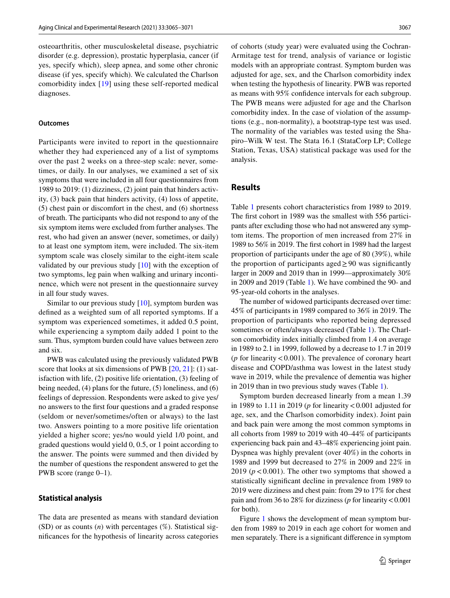osteoarthritis, other musculoskeletal disease, psychiatric disorder (e.g. depression), prostatic hyperplasia, cancer (if yes, specify which), sleep apnea, and some other chronic disease (if yes, specify which). We calculated the Charlson comorbidity index [19] using these self-reported medical diagnoses.

#### **Outcomes**

Participants were invited to report in the questionnaire whether they had experienced any of a list of symptoms over the past 2 weeks on a three-step scale: never, sometimes, or daily. In our analyses, we examined a set of six symptoms that were included in all four questionnaires from 1989 to 2019: (1) dizziness, (2) joint pain that hinders activity, (3) back pain that hinders activity, (4) loss of appetite, (5) chest pain or discomfort in the chest, and (6) shortness of breath. The participants who did not respond to any of the six symptom items were excluded from further analyses. The rest, who had given an answer (never, sometimes, or daily) to at least one symptom item, were included. The six-item symptom scale was closely similar to the eight-item scale validated by our previous study [10] with the exception of two symptoms, leg pain when walking and urinary incontinence, which were not present in the questionnaire survey in all four study waves.

Similar to our previous study [10], symptom burden was defned as a weighted sum of all reported symptoms. If a symptom was experienced sometimes, it added 0.5 point, while experiencing a symptom daily added 1 point to the sum. Thus, symptom burden could have values between zero and six.

PWB was calculated using the previously validated PWB score that looks at six dimensions of PWB [20, 21]: (1) satisfaction with life, (2) positive life orientation, (3) feeling of being needed, (4) plans for the future, (5) loneliness, and (6) feelings of depression. Respondents were asked to give yes/ no answers to the frst four questions and a graded response (seldom or never/sometimes/often or always) to the last two. Answers pointing to a more positive life orientation yielded a higher score; yes/no would yield 1/0 point, and graded questions would yield 0, 0.5, or 1 point according to the answer. The points were summed and then divided by the number of questions the respondent answered to get the PWB score (range  $0-1$ ).

#### **Statistical analysis**

The data are presented as means with standard deviation (SD) or as counts (*n*) with percentages (%). Statistical signifcances for the hypothesis of linearity across categories of cohorts (study year) were evaluated using the Cochran-Armitage test for trend, analysis of variance or logistic models with an appropriate contrast. Symptom burden was adjusted for age, sex, and the Charlson comorbidity index when testing the hypothesis of linearity. PWB was reported as means with 95% confdence intervals for each subgroup. The PWB means were adjusted for age and the Charlson comorbidity index. In the case of violation of the assumptions (e.g., non-normality), a bootstrap-type test was used. The normality of the variables was tested using the Shapiro–Wilk W test. The Stata 16.1 (StataCorp LP; College Station, Texas, USA) statistical package was used for the analysis.

## **Results**

Table 1 presents cohort characteristics from 1989 to 2019. The frst cohort in 1989 was the smallest with 556 participants after excluding those who had not answered any symptom items. The proportion of men increased from 27% in 1989 to 56% in 2019. The frst cohort in 1989 had the largest proportion of participants under the age of 80 (39%), while the proportion of participants aged  $\geq$  90 was significantly larger in 2009 and 2019 than in 1999—approximately 30% in 2009 and 2019 (Table 1). We have combined the 90- and 95-year-old cohorts in the analyses.

The number of widowed participants decreased over time: 45% of participants in 1989 compared to 36% in 2019. The proportion of participants who reported being depressed sometimes or often/always decreased (Table 1). The Charlson comorbidity index initially climbed from 1.4 on average in 1989 to 2.1 in 1999, followed by a decrease to 1.7 in 2019 ( $p$  for linearity < 0.001). The prevalence of coronary heart disease and COPD/asthma was lowest in the latest study wave in 2019, while the prevalence of dementia was higher in 2019 than in two previous study waves (Table 1).

Symptom burden decreased linearly from a mean 1.39 in 1989 to 1.11 in 2019 ( $p$  for linearity <0.001 adjusted for age, sex, and the Charlson comorbidity index). Joint pain and back pain were among the most common symptoms in all cohorts from 1989 to 2019 with 40–44% of participants experiencing back pain and 43–48% experiencing joint pain. Dyspnea was highly prevalent (over 40%) in the cohorts in 1989 and 1999 but decreased to 27% in 2009 and 22% in 2019 ( $p < 0.001$ ). The other two symptoms that showed a statistically signifcant decline in prevalence from 1989 to 2019 were dizziness and chest pain: from 29 to 17% for chest pain and from 36 to 28% for dizziness (*p* for linearity<0.001 for both).

Figure 1 shows the development of mean symptom burden from 1989 to 2019 in each age cohort for women and men separately. There is a signifcant diference in symptom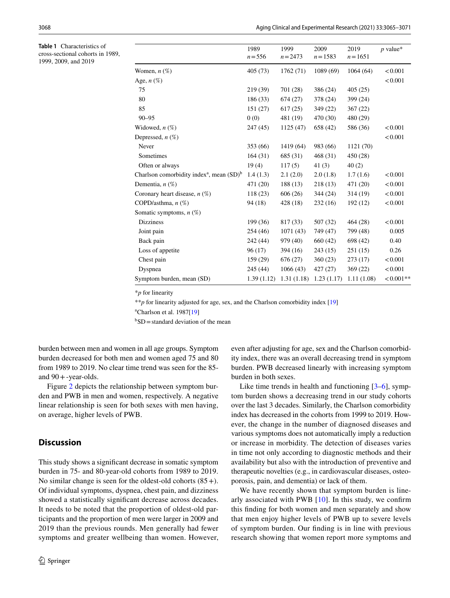**Table 1** Characteristics of cross-sectional cohorts in 1989, 1999, 2009, and 2019

|                                                         | 1989<br>$n = 556$ | 1999<br>$n = 2473$ | 2009<br>$n = 1583$ | 2019<br>$n = 1651$ | $p$ value*  |
|---------------------------------------------------------|-------------------|--------------------|--------------------|--------------------|-------------|
|                                                         |                   |                    |                    |                    |             |
| Women, $n(\%)$                                          | 405 (73)          | 1762(71)           | 1089(69)           | 1064(64)           | < 0.001     |
| Age, $n(\%)$                                            |                   |                    |                    |                    | < 0.001     |
| 75                                                      | 219(39)           | 701 (28)           | 386 (24)           | 405(25)            |             |
| 80                                                      | 186 (33)          | 674(27)            | 378 (24)           | 399 (24)           |             |
| 85                                                      | 151(27)           | 617(25)            | 349 (22)           | 367(22)            |             |
| $90 - 95$                                               | 0(0)              | 481 (19)           | 470 (30)           | 480 (29)           |             |
| Widowed, $n(\%)$                                        | 247(45)           | 1125(47)           | 658 (42)           | 586 (36)           | < 0.001     |
| Depressed, $n(\%)$                                      |                   |                    |                    |                    | < 0.001     |
| Never                                                   | 353 (66)          | 1419 (64)          | 983 (66)           | 1121 (70)          |             |
| Sometimes                                               | 164(31)           | 685 (31)           | 468 (31)           | 450 (28)           |             |
| Often or always                                         | 19(4)             | 117(5)             | 41 $(3)$           | 40(2)              |             |
| Charlson comorbidity index <sup>a</sup> , mean $(SD)^b$ | 1.4(1.3)          | 2.1(2.0)           | 2.0(1.8)           | 1.7(1.6)           | < 0.001     |
| Dementia, $n(\%)$                                       | 471 (20)          | 188 (13)           | 218(13)            | 471 (20)           | < 0.001     |
| Coronary heart disease, $n$ (%)                         | 118(23)           | 606(26)            | 344 (24)           | 314(19)            | < 0.001     |
| COPD/asthma, $n$ (%)                                    | 94 (18)           | 428 (18)           | 232 (16)           | 192 (12)           | < 0.001     |
| Somatic symptoms, $n$ (%)                               |                   |                    |                    |                    |             |
| <b>Dizziness</b>                                        | 199 (36)          | 817 (33)           | 507 (32)           | 464 (28)           | < 0.001     |
| Joint pain                                              | 254(46)           | 1071(43)           | 749 (47)           | 799 (48)           | 0.005       |
| Back pain                                               | 242 (44)          | 979 (40)           | 660 (42)           | 698 (42)           | 0.40        |
| Loss of appetite                                        | 96 (17)           | 394 (16)           | 243(15)            | 251(15)            | 0.26        |
| Chest pain                                              | 159(29)           | 676 (27)           | 360(23)            | 273(17)            | < 0.001     |
| Dyspnea                                                 | 245 (44)          | 1066(43)           | 427 (27)           | 369(22)            | < 0.001     |
| Symptom burden, mean (SD)                               | 1.39(1.12)        | 1.31(1.18)         | 1.23(1.17)         | 1.11(1.08)         | $< 0.001**$ |

\**p* for linearity

\*\**p* for linearity adjusted for age, sex, and the Charlson comorbidity index [19]

<sup>a</sup>Charlson et al. 1987[19]

 $b<sub>SD</sub>$  = standard deviation of the mean

burden between men and women in all age groups. Symptom burden decreased for both men and women aged 75 and 80 from 1989 to 2019. No clear time trend was seen for the 85 and  $90 + -$ year-olds.

Figure 2 depicts the relationship between symptom burden and PWB in men and women, respectively. A negative linear relationship is seen for both sexes with men having, on average, higher levels of PWB.

## **Discussion**

This study shows a signifcant decrease in somatic symptom burden in 75- and 80-year-old cohorts from 1989 to 2019. No similar change is seen for the oldest-old cohorts  $(85+)$ . Of individual symptoms, dyspnea, chest pain, and dizziness showed a statistically signifcant decrease across decades. It needs to be noted that the proportion of oldest-old participants and the proportion of men were larger in 2009 and 2019 than the previous rounds. Men generally had fewer symptoms and greater wellbeing than women. However, even after adjusting for age, sex and the Charlson comorbidity index, there was an overall decreasing trend in symptom burden. PWB decreased linearly with increasing symptom burden in both sexes.

Like time trends in health and functioning [3–6], symptom burden shows a decreasing trend in our study cohorts over the last 3 decades. Similarly, the Charlson comorbidity index has decreased in the cohorts from 1999 to 2019. However, the change in the number of diagnosed diseases and various symptoms does not automatically imply a reduction or increase in morbidity. The detection of diseases varies in time not only according to diagnostic methods and their availability but also with the introduction of preventive and therapeutic novelties (e.g., in cardiovascular diseases, osteoporosis, pain, and dementia) or lack of them.

We have recently shown that symptom burden is linearly associated with PWB [10]. In this study, we confrm this fnding for both women and men separately and show that men enjoy higher levels of PWB up to severe levels of symptom burden. Our fnding is in line with previous research showing that women report more symptoms and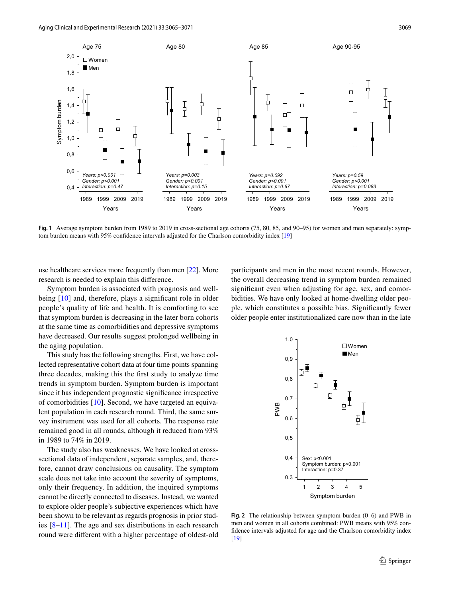

**Fig.** 1 Average symptom burden from 1989 to 2019 in cross-sectional age cohorts (75, 80, 85, and 90–95) for women and men separately: symptom burden means with 95% confdence intervals adjusted for the Charlson comorbidity index [19]

use healthcare services more frequently than men [22]. More research is needed to explain this diference.

Symptom burden is associated with prognosis and wellbeing [10] and, therefore, plays a significant role in older people's quality of life and health. It is comforting to see that symptom burden is decreasing in the later born cohorts at the same time as comorbidities and depressive symptoms have decreased. Our results suggest prolonged wellbeing in the aging population.

This study has the following strengths. First, we have collected representative cohort data at four time points spanning three decades, making this the frst study to analyze time trends in symptom burden. Symptom burden is important since it has independent prognostic signifcance irrespective of comorbidities [10]. Second, we have targeted an equivalent population in each research round. Third, the same survey instrument was used for all cohorts. The response rate remained good in all rounds, although it reduced from 93% in 1989 to 74% in 2019.

The study also has weaknesses. We have looked at crosssectional data of independent, separate samples, and, therefore, cannot draw conclusions on causality. The symptom scale does not take into account the severity of symptoms, only their frequency. In addition, the inquired symptoms cannot be directly connected to diseases. Instead, we wanted to explore older people's subjective experiences which have been shown to be relevant as regards prognosis in prior studies [8–11]. The age and sex distributions in each research round were diferent with a higher percentage of oldest-old

participants and men in the most recent rounds. However, the overall decreasing trend in symptom burden remained significant even when adjusting for age, sex, and comorbidities. We have only looked at home-dwelling older people, which constitutes a possible bias. Signifcantly fewer older people enter institutionalized care now than in the late



**Fig. 2** The relationship between symptom burden (0–6) and PWB in men and women in all cohorts combined: PWB means with 95% confdence intervals adjusted for age and the Charlson comorbidity index [19]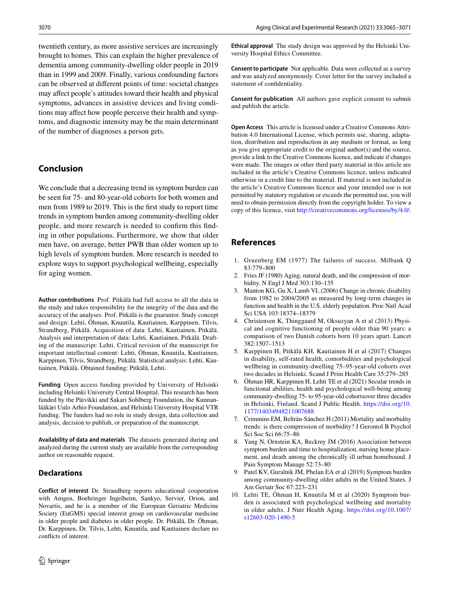twentieth century, as more assistive services are increasingly brought to homes. This can explain the higher prevalence of dementia among community-dwelling older people in 2019 than in 1999 and 2009. Finally, various confounding factors can be observed at diferent points of time: societal changes may afect people's attitudes toward their health and physical symptoms, advances in assistive devices and living conditions may afect how people perceive their health and symptoms, and diagnostic intensity may be the main determinant of the number of diagnoses a person gets.

## **Conclusion**

We conclude that a decreasing trend in symptom burden can be seen for 75- and 80-year-old cohorts for both women and men from 1989 to 2019. This is the frst study to report time trends in symptom burden among community-dwelling older people, and more research is needed to confrm this fnding in other populations. Furthermore, we show that older men have, on average, better PWB than older women up to high levels of symptom burden. More research is needed to explore ways to support psychological wellbeing, especially for aging women.

**Author contributions** Prof. Pitkälä had full access to all the data in the study and takes responsibility for the integrity of the data and the accuracy of the analyses. Prof. Pitkälä is the guarantor. Study concept and design: Lehti, Öhman, Knuutila, Kautiainen, Karppinen, Tilvis, Strandberg, Pitkälä. Acquisition of data: Lehti, Kautiainen, Pitkälä. Analysis and interpretation of data: Lehti, Kautiainen, Pitkälä. Drafting of the manuscript: Lehti. Critical revision of the manuscript for important intellectual content: Lehti, Öhman, Knuutila, Kautiainen, Karppinen, Tilvis, Strandberg, Pitkälä. Statistical analysis: Lehti, Kautiainen, Pitkälä. Obtained funding: Pitkälä, Lehti.

**Funding** Open access funding provided by University of Helsinki including Helsinki University Central Hospital. This research has been funded by the Päivikki and Sakari Sohlberg Foundation, the Kunnanlääkäri Uulo Arhio Foundation, and Helsinki University Hospital VTR funding. The funders had no role in study design, data collection and analysis, decision to publish, or preparation of the manuscript.

**Availability of data and materials** The datasets generated during and analyzed during the current study are available from the corresponding author on reasonable request.

## **Declarations**

**Conflict of interest** Dr. Strandberg reports educational cooperation with Amgen, Boehringer Ingelheim, Sankyo, Servier, Orion, and Novartis, and he is a member of the European Geriatric Medicine Society (EuGMS) special interest group on cardiovascular medicine in older people and diabetes in older people. Dr. Pitkälä, Dr. Öhman, Dr. Karppinen, Dr. Tilvis, Lehti, Knuutila, and Kautiainen declare no conficts of interest.

**Ethical approval** The study design was approved by the Helsinki University Hospital Ethics Committee.

**Consent to participate** Not applicable. Data were collected as a survey and was analyzed anonymously. Cover letter for the survey included a statement of confdentiality.

**Consent for publication** All authors gave explicit consent to submit and publish the article.

**Open Access** This article is licensed under a Creative Commons Attribution 4.0 International License, which permits use, sharing, adaptation, distribution and reproduction in any medium or format, as long as you give appropriate credit to the original author(s) and the source, provide a link to the Creative Commons licence, and indicate if changes were made. The images or other third party material in this article are included in the article's Creative Commons licence, unless indicated otherwise in a credit line to the material. If material is not included in the article's Creative Commons licence and your intended use is not permitted by statutory regulation or exceeds the permitted use, you will need to obtain permission directly from the copyright holder. To view a copy of this licence, visit<http://creativecommons.org/licenses/by/4.0/>.

## **References**

- 1. Gruenberg EM (1977) The failures of success. Milbank Q 83:779–800
- 2. Fries JF (1980) Aging, natural death, and the compression of morbidity. N Engl J Med 303:130–135
- 3. Manton KG, Gu X, Lamb VL (2006) Change in chronic disability from 1982 to 2004/2005 as measured by long-term changes in function and health in the U.S. elderly population. Proc Natl Acad Sci USA 103:18374–18379
- 4. Christensen K, Thinggaard M, Oksuzyan A et al (2013) Physical and cognitive functioning of people older than 90 years: a comparison of two Danish cohorts born 10 years apart. Lancet 382:1507–1513
- 5. Karppinen H, Pitkälä KH, Kautiainen H et al (2017) Changes in disability, self-rated health, comorbidities and psychological wellbeing in community-dwelling 75–95-year-old cohorts over two decades in Helsinki. Scand J Prim Health Care 35:279–285
- 6. Öhman HR, Karppinen H, Lehti TE et al (2021) Secular trends in functional abilities, health and psychological well-being among community-dwelling 75- to 95-year-old cohortsover three decades in Helsinki, Finland. Scand J Public Health. [https://doi.org/10.](https://doi.org/10.1177/14034948211007688) [1177/14034948211007688](https://doi.org/10.1177/14034948211007688)
- 7. Crimmins EM, Beltrán-Sánchez H (2011) Mortality and morbidity trends: is there compression of morbidity? J Gerontol B Psychol Sci Soc Sci 66:75–86
- 8. Yang N, Ornstein KA, Reckrey JM (2016) Association between symptom burden and time to hospitalization, nursing home placement, and death among the chronically ill urban homebound. J Pain Symptom Manage 52:73–80
- 9. Patel KV, Guralnik JM, Phelan EA et al (2019) Symptom burden among community-dwelling older adults in the United States. J Am Geriatr Soc 67:223–231
- 10. Lehti TE, Öhman H, Knuutila M et al (2020) Symptom burden is associated with psychological wellbeing and mortality in older adults. J Nutr Health Aging. [https://doi.org/10.1007/](https://doi.org/10.1007/s12603-020-1490-5) [s12603-020-1490-5](https://doi.org/10.1007/s12603-020-1490-5)